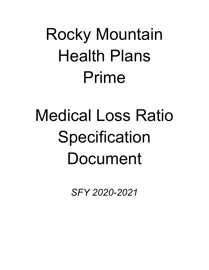# Rocky Mountain Health Plans Prime

# Medical Loss Ratio **Specification** Document

*SFY 2020-2021*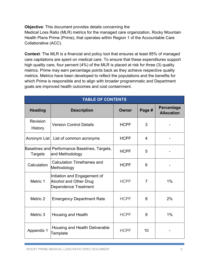**Objective**: This document provides details concerning the

Medical Loss Ratio (MLR) metrics for the managed care organization, Rocky Mountain Health Plans Prime (Prime), that operates within Region 1 of the Accountable Care Collaborative (ACC).

**Context**: The MLR is a financial and policy tool that ensures at least 85% of managed care capitations are spent on medical care. To ensure that these expenditures support high quality care, four percent (4%) of the MLR is placed at risk for three (3) quality metrics. Prime may earn percentage points back as they achieve respective quality metrics. Metrics have been developed to reflect the populations and the benefits for which Prime is responsible and to align with broader programmatic and Department goals are improved health outcomes and cost containment.

| <b>TABLE OF CONTENTS</b>   |                                                                                              |              |                |                                        |
|----------------------------|----------------------------------------------------------------------------------------------|--------------|----------------|----------------------------------------|
| <b>Heading</b>             | <b>Description</b>                                                                           | <b>Owner</b> | Page #         | <b>Percentage</b><br><b>Allocation</b> |
| Revision<br><b>History</b> | <b>Version Control Details</b>                                                               | <b>HCPF</b>  | 3              |                                        |
|                            | Acronym List   List of common acronyms                                                       | <b>HCPF</b>  | 4              |                                        |
| <b>Targets</b>             | Baselines and Performance Baselines, Targets,<br>and Methodology                             | <b>HCPF</b>  | 5              |                                        |
| Calculation                | <b>Calculation Timeframes and</b><br>Methodology                                             | <b>HCPF</b>  | 6              |                                        |
| Metric 1                   | Initiation and Engagement of<br><b>Alcohol and Other Drug</b><br><b>Dependence Treatment</b> | <b>HCPF</b>  | $\overline{7}$ | $1\%$                                  |
| Metric 2                   | <b>Emergency Department Rate</b>                                                             | <b>HCPF</b>  | 8              | 2%                                     |
| Metric 3                   | <b>Housing and Health</b>                                                                    | <b>HCPF</b>  | 9              | $1\%$                                  |
| Appendix 1                 | Housing and Health Deliverable<br>Template                                                   | <b>HCPF</b>  | 10             |                                        |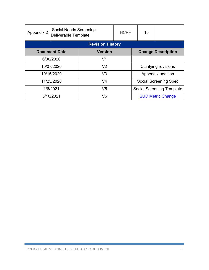| Appendix 2           | <b>Social Needs Screening</b><br>Deliverable Template |                         | <b>HCPF</b> |                                  | 15 |  |
|----------------------|-------------------------------------------------------|-------------------------|-------------|----------------------------------|----|--|
|                      |                                                       | <b>Revision History</b> |             |                                  |    |  |
| <b>Document Date</b> |                                                       | <b>Version</b>          |             | <b>Change Description</b>        |    |  |
| 6/30/2020            |                                                       | V1                      |             |                                  |    |  |
| 10/07/2020           |                                                       | V <sub>2</sub>          |             | <b>Clarifying revisions</b>      |    |  |
| 10/15/2020           |                                                       | V <sub>3</sub>          |             | Appendix addition                |    |  |
| 11/25/2020           |                                                       | V <sub>4</sub>          |             | <b>Social Screening Spec</b>     |    |  |
| 1/6/2021             |                                                       | V <sub>5</sub>          |             | <b>Social Screening Template</b> |    |  |
| 5/10/2021            |                                                       | V <sub>6</sub>          |             | <b>SUD Metric Change</b>         |    |  |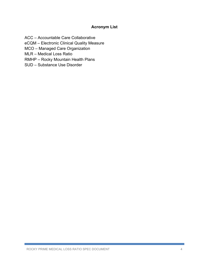### **Acronym List**

ACC – Accountable Care Collaborative

eCQM – Electronic Clinical Quality Measure

MCO – Managed Care Organization

MLR – Medical Loss Ratio

RMHP – Rocky Mountain Health Plans

SUD – Substance Use Disorder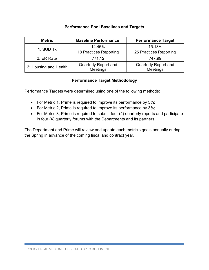#### **Performance Pool Baselines and Targets**

| <b>Metric</b>         | <b>Baseline Performance</b>             | <b>Performance Target</b>               |  |
|-----------------------|-----------------------------------------|-----------------------------------------|--|
| 1: $SUB Tx$           | 14.46%                                  | 15.18%                                  |  |
|                       | 18 Practices Reporting                  | 25 Practices Reporting                  |  |
| 2: ER Rate            | 771.12                                  | 747.99                                  |  |
| 3: Housing and Health | <b>Quarterly Report and</b><br>Meetings | <b>Quarterly Report and</b><br>Meetings |  |

#### **Performance Target Methodology**

Performance Targets were determined using one of the following methods:

- For Metric 1, Prime is required to improve its performance by 5%;
- For Metric 2, Prime is required to improve its performance by 3%;
- For Metric 3, Prime is required to submit four (4) quarterly reports and participate in four (4) quarterly forums with the Departments and its partners.

The Department and Prime will review and update each metric's goals annually during the Spring in advance of the coming fiscal and contract year.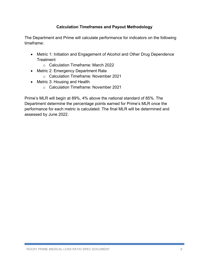#### **Calculation Timeframes and Payout Methodology**

The Department and Prime will calculate performance for indicators on the following timeframe:

- Metric 1: Initiation and Engagement of Alcohol and Other Drug Dependence **Treatment** 
	- o Calculation Timeframe: March 2022
- Metric 2: Emergency Department Rate
	- o Calculation Timeframe: November 2021
- Metric 3: Housing and Health
	- o Calculation Timeframe: November 2021

Prime's MLR will begin at 89%, 4% above the national standard of 85%. The Department determine the percentage points earned for Prime's MLR once the performance for each metric is calculated. The final MLR will be determined and assessed by June 2022.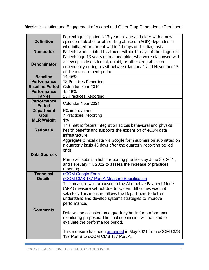**Metric 1**: Initiation and Engagement of Alcohol and Other Drug Dependence Treatment

|                                     | Percentage of patients 13 years of age and older with a new                                                                    |
|-------------------------------------|--------------------------------------------------------------------------------------------------------------------------------|
| <b>Definition</b>                   | episode of alcohol or other drug abuse or (AOD) dependence                                                                     |
|                                     | who initiated treatment within 14 days of the diagnosis                                                                        |
| <b>Numerator</b>                    | Patients who initiated treatment within 14 days of the diagnosis                                                               |
|                                     | Patients age 13 years of age and older who were diagnosed with                                                                 |
| <b>Denominator</b>                  | a new episode of alcohol, opioid, or other drug abuse or                                                                       |
|                                     | dependency during a visit between January 1 and November 15                                                                    |
|                                     | of the measurement period                                                                                                      |
| <b>Baseline</b>                     | 14.46%                                                                                                                         |
| <b>Performance</b>                  | 18 Practices Reporting                                                                                                         |
| <b>Baseline Period</b>              | Calendar Year 2019                                                                                                             |
| <b>Performance</b>                  | 15.18%                                                                                                                         |
| <b>Target</b>                       | 25 Practices Reporting                                                                                                         |
| <b>Performance</b><br><b>Period</b> | Calendar Year 2021                                                                                                             |
| <b>Department</b>                   | 5% improvement                                                                                                                 |
| Goal                                | 7 Practices Reporting                                                                                                          |
| <b>MLR Weight</b>                   | 1%                                                                                                                             |
|                                     | This metric fosters integration across behavioral and physical                                                                 |
| <b>Rationale</b>                    | health benefits and supports the expansion of eCQM data                                                                        |
|                                     | infrastructure.                                                                                                                |
|                                     | Aggregate clinical data via Google form submission submitted on                                                                |
|                                     | a quarterly basis 45 days after the quarterly reporting period                                                                 |
| <b>Data Sources</b>                 | ends                                                                                                                           |
|                                     |                                                                                                                                |
|                                     | Prime will submit a list of reporting practices by June 30, 2021,<br>and February 14, 2022 to assess the increase of practices |
|                                     | reporting.                                                                                                                     |
| <b>Technical</b>                    | eCQM Google Form                                                                                                               |
| <b>Details</b>                      | eCQM CMS 137 Part A Measure Specification                                                                                      |
|                                     | This measure was proposed in the Alternative Payment Model                                                                     |
|                                     | (APM) measure set but due to system difficulties was not                                                                       |
|                                     | selected. This measure allows the Department to better                                                                         |
|                                     | understand and develop systems strategies to improve                                                                           |
|                                     | performance.                                                                                                                   |
| <b>Comments</b>                     |                                                                                                                                |
|                                     | Data will be collected on a quarterly basis for performance                                                                    |
|                                     | monitoring purposes. The final submission will be used to                                                                      |
|                                     | evaluate the performance period.                                                                                               |
|                                     |                                                                                                                                |
|                                     | This measure has been <b>amended</b> in May 2021 from eCQM CMS<br>137 Part B to eCQM CMS 137 Part A.                           |
|                                     |                                                                                                                                |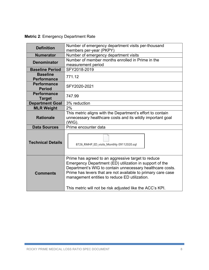| Number of emergency department visits per-thousand<br><b>Definition</b><br>members per-year (PKPY) |                                                                                                                                                                                                                                                                                                                                                          |  |  |  |
|----------------------------------------------------------------------------------------------------|----------------------------------------------------------------------------------------------------------------------------------------------------------------------------------------------------------------------------------------------------------------------------------------------------------------------------------------------------------|--|--|--|
| <b>Numerator</b>                                                                                   | Number of emergency department visits                                                                                                                                                                                                                                                                                                                    |  |  |  |
| <b>Denominator</b>                                                                                 | Number of member months enrolled in Prime in the<br>measurement period                                                                                                                                                                                                                                                                                   |  |  |  |
| <b>Baseline Period</b>                                                                             | SFY2018-2019                                                                                                                                                                                                                                                                                                                                             |  |  |  |
| <b>Baseline</b><br><b>Performance</b>                                                              | 771.12                                                                                                                                                                                                                                                                                                                                                   |  |  |  |
| <b>Performance</b><br><b>Period</b>                                                                | SFY2020-2021                                                                                                                                                                                                                                                                                                                                             |  |  |  |
| <b>Performance</b><br><b>Target</b>                                                                | 747.99                                                                                                                                                                                                                                                                                                                                                   |  |  |  |
| <b>Department Goal</b>                                                                             | 3% reduction                                                                                                                                                                                                                                                                                                                                             |  |  |  |
| <b>MLR Weight</b>                                                                                  | 2%                                                                                                                                                                                                                                                                                                                                                       |  |  |  |
| <b>Rationale</b>                                                                                   | This metric aligns with the Department's effort to contain<br>unnecessary healthcare costs and its wildly important goal<br>$(WIG)$ .                                                                                                                                                                                                                    |  |  |  |
| <b>Data Sources</b>                                                                                | Prime encounter data                                                                                                                                                                                                                                                                                                                                     |  |  |  |
| <b>Technical Details</b>                                                                           | 8726_RMHP_ED_visits_Monthly 09112020.sql                                                                                                                                                                                                                                                                                                                 |  |  |  |
| <b>Comments</b>                                                                                    | Prime has agreed to an aggressive target to reduce<br>Emergency Department (ED) utilization in support of the<br>Department's WIG to contain unnecessary healthcare costs.<br>Prime has levers that are not available to primary care case<br>management entities to reduce ED utilization.<br>This metric will not be risk adjusted like the ACC's KPI. |  |  |  |

**Metric 2**: Emergency Department Rate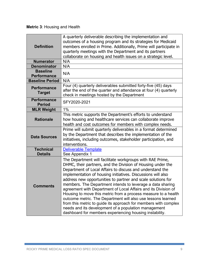# **Metric 3**: Housing and Health

| <b>Definition</b>                     | A quarterly deliverable describing the implementation and<br>outcomes of a housing program and its strategies for Medicaid<br>members enrolled in Prime. Additionally, Prime will participate in<br>quarterly meetings with the Department and its partners<br>collaborate on housing and health issues on a strategic level.                                                                                                                                                                                                                                                                                                                                                                                                                                                 |
|---------------------------------------|-------------------------------------------------------------------------------------------------------------------------------------------------------------------------------------------------------------------------------------------------------------------------------------------------------------------------------------------------------------------------------------------------------------------------------------------------------------------------------------------------------------------------------------------------------------------------------------------------------------------------------------------------------------------------------------------------------------------------------------------------------------------------------|
| <b>Numerator</b>                      | N/A                                                                                                                                                                                                                                                                                                                                                                                                                                                                                                                                                                                                                                                                                                                                                                           |
| <b>Denominator</b>                    | N/A                                                                                                                                                                                                                                                                                                                                                                                                                                                                                                                                                                                                                                                                                                                                                                           |
| <b>Baseline</b><br><b>Performance</b> | N/A                                                                                                                                                                                                                                                                                                                                                                                                                                                                                                                                                                                                                                                                                                                                                                           |
| <b>Baseline Period</b>                | N/A                                                                                                                                                                                                                                                                                                                                                                                                                                                                                                                                                                                                                                                                                                                                                                           |
| <b>Performance</b><br><b>Target</b>   | Four (4) quarterly deliverables submitted forty-five (45) days<br>after the end of the quarter and attendance at four (4) quarterly<br>check in meetings hosted by the Department                                                                                                                                                                                                                                                                                                                                                                                                                                                                                                                                                                                             |
| <b>Performance</b><br><b>Period</b>   | SFY2020-2021                                                                                                                                                                                                                                                                                                                                                                                                                                                                                                                                                                                                                                                                                                                                                                  |
| <b>MLR Weight</b>                     | 1%                                                                                                                                                                                                                                                                                                                                                                                                                                                                                                                                                                                                                                                                                                                                                                            |
| <b>Rationale</b>                      | This metric supports the Department's efforts to understand<br>how housing and healthcare services can collaborate improve<br>health and cost outcomes for members with complex needs.                                                                                                                                                                                                                                                                                                                                                                                                                                                                                                                                                                                        |
| <b>Data Sources</b>                   | Prime will submit quarterly deliverables in a format determined<br>by the Department that describes the implementation of the<br>initiatives, including outcomes, stakeholder participation, and<br>interventions.                                                                                                                                                                                                                                                                                                                                                                                                                                                                                                                                                            |
| <b>Technical</b><br><b>Details</b>    | <b>Deliverable Template</b><br>See Appendix 1                                                                                                                                                                                                                                                                                                                                                                                                                                                                                                                                                                                                                                                                                                                                 |
| Comments                              | The Department will facilitate workgroups with RAE Prime,<br>DHMC, their partners, and the Division of Housing under the<br>Department of Local Affairs to discuss and understand the<br>implementation of housing initiatives. Discussions will also<br>address new opportunities to partner and scale solutions for<br>members. The Department intends to leverage a data sharing<br>agreement with Department of Local Affairs and its Division of<br>Housing to move this metric from a process measure to a health<br>outcome metric. The Department will also use lessons learned<br>from this metric to guide its approach for members with complex<br>needs and its development of a population management<br>dashboard for members experiencing housing instability. |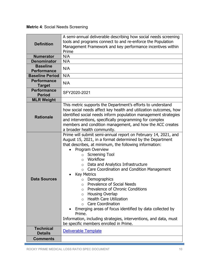## **Metric 4**: Social Needs Screening

|                                       | A semi-annual deliverable describing how social needs screening                                                             |
|---------------------------------------|-----------------------------------------------------------------------------------------------------------------------------|
| <b>Definition</b>                     | tools and programs connect to and re-enforce the Population                                                                 |
|                                       | Management Framework and key performance incentives within                                                                  |
|                                       | Prime                                                                                                                       |
| <b>Numerator</b>                      | N/A                                                                                                                         |
| <b>Denominator</b>                    | N/A                                                                                                                         |
| <b>Baseline</b><br><b>Performance</b> | N/A                                                                                                                         |
| <b>Baseline Period</b>                | N/A                                                                                                                         |
| <b>Performance</b>                    |                                                                                                                             |
| <b>Target</b>                         | N/A                                                                                                                         |
| <b>Performance</b><br><b>Period</b>   | SFY2020-2021                                                                                                                |
| <b>MLR Weight</b>                     |                                                                                                                             |
|                                       | This metric supports the Department's efforts to understand                                                                 |
|                                       | how social needs affect key health and utilization outcomes, how                                                            |
| <b>Rationale</b>                      | identified social needs inform population management strategies                                                             |
|                                       | and interventions, specifically programming for complex                                                                     |
|                                       | members and condition management, and how the ACC creates                                                                   |
|                                       | a broader health community.                                                                                                 |
|                                       | Prime will submit semi-annual report on February 14, 2021, and<br>August 15, 2021, in a format determined by the Department |
|                                       | that describes, at minimum, the following information:                                                                      |
|                                       | Program Overview                                                                                                            |
|                                       | <b>Screening Tool</b><br>$\Omega$                                                                                           |
|                                       | Workflow<br>$\Omega$                                                                                                        |
|                                       | Data and Analytics Infrastructure<br>$\circ$                                                                                |
|                                       | Care Coordination and Condition Management<br>$\circ$                                                                       |
|                                       | <b>Key Metrics</b>                                                                                                          |
| <b>Data Sources</b>                   | Demographics<br>$\circ$                                                                                                     |
|                                       | <b>Prevalence of Social Needs</b><br>$\circ$                                                                                |
|                                       | Prevalence of Chronic Conditions<br>O                                                                                       |
|                                       | <b>Housing Overlap</b><br>O                                                                                                 |
|                                       | <b>Health Care Utilization</b><br>$\Omega$<br><b>Care Coordination</b>                                                      |
|                                       | $\Omega$<br>Emerging areas of focus identified by data collected by                                                         |
|                                       | Prime.                                                                                                                      |
|                                       | Information, including strategies, interventions, and data, must                                                            |
|                                       | be specific members enrolled in Prime.                                                                                      |
| <b>Technical</b><br><b>Details</b>    | <b>Deliverable Template</b>                                                                                                 |
| <b>Comments</b>                       |                                                                                                                             |
|                                       |                                                                                                                             |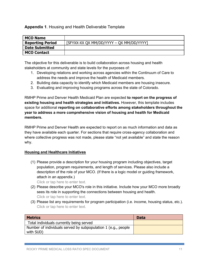#### **Appendix 1**. Housing and Health Deliverable Template

| <b>MCO Name</b>         |                                          |
|-------------------------|------------------------------------------|
| <b>Reporting Period</b> | [SFYXX-XX QX MM/DD/YYYY - QX MM/DD/YYYY] |
| <b>Date Submitted</b>   |                                          |
| <b>MCO Contact</b>      |                                          |

The objective for this deliverable is to build collaboration across housing and health stakeholders at community and state levels for the purposes of:

- 1. Developing relations and working across agencies within the Continuum of Care to address the needs and improve the health of Medicaid members.
- 2. Building data capacity to identify which Medicaid members are housing insecure.
- 3. Evaluating and improving housing programs across the state of Colorado.

RMHP Prime and Denver Health Medicaid Plan are expected **to report on the progress of existing housing and health strategies and initiatives.** However, this template includes space for additional **reporting on collaborative efforts among stakeholders throughout the year to address a more comprehensive vision of housing and health for Medicaid members.** 

RMHP Prime and Denver Health are expected to report on as much information and data as they have available each quarter. For sections that require cross-agency collaboration and where collective progress was not made, please state "not yet available" and state the reason why.

#### **Housing and Healthcare Initiatives**

(1) Please provide a description for your housing program including objectives, target population, program requirements, and length of services. Please also include a description of the role of your MCO. (If there is a logic model or guiding framework, attach in an appendix.)

Click or tap here to enter text.

- (2) Please describe your MCO's role in this initiative. Include how your MCO more broadly sees its role in supporting the connections between housing and health. Click or tap here to enter text.
- (3) Please list any requirements for program participation (i.e. income, housing status, etc.). Click or tap here to enter text.

| <b>Metrics</b>                                                | <b>Data</b> |
|---------------------------------------------------------------|-------------|
| Total individuals currently being served                      |             |
| Number of individuals served by subpopulation 1 (e.g., people |             |
| with SUD)                                                     |             |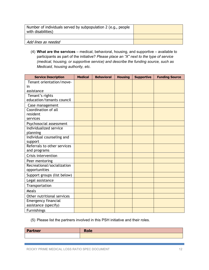| Number of individuals served by subpopulation 2 (e.g., people<br>with disabilities) |  |
|-------------------------------------------------------------------------------------|--|
|                                                                                     |  |
| Add lines as needed                                                                 |  |

(4) **What are the services** – medical, behavioral, housing, and supportive – available to participants as part of the initiative? *Please place an "X" next to the type of service (medical, housing, or supportive service) and describe the funding source, such as Medicaid, housing authority, etc.*

| <b>Service Description</b>  | <b>Medical</b> | <b>Behavioral</b> | <b>Housing</b> | <b>Supportive</b> | <b>Funding Source</b> |
|-----------------------------|----------------|-------------------|----------------|-------------------|-----------------------|
| Tenant orientation/move-    |                |                   |                |                   |                       |
| in                          |                |                   |                |                   |                       |
| assistance                  |                |                   |                |                   |                       |
| Tenant's rights             |                |                   |                |                   |                       |
| education/tenants council   |                |                   |                |                   |                       |
| Case management             |                |                   |                |                   |                       |
| Coordination of all         |                |                   |                |                   |                       |
| resident                    |                |                   |                |                   |                       |
| services                    |                |                   |                |                   |                       |
| Psychosocial assessment     |                |                   |                |                   |                       |
| Individualized service      |                |                   |                |                   |                       |
| planning                    |                |                   |                |                   |                       |
| Individual counseling and   |                |                   |                |                   |                       |
| support                     |                |                   |                |                   |                       |
| Referrals to other services |                |                   |                |                   |                       |
| and programs                |                |                   |                |                   |                       |
| Crisis intervention         |                |                   |                |                   |                       |
| Peer mentoring              |                |                   |                |                   |                       |
| Recreational/socialization  |                |                   |                |                   |                       |
| opportunities               |                |                   |                |                   |                       |
| Support groups (list below) |                |                   |                |                   |                       |
| Legal assistance            |                |                   |                |                   |                       |
| Transportation              |                |                   |                |                   |                       |
| Meals                       |                |                   |                |                   |                       |
| Other nutritional services  |                |                   |                |                   |                       |
| <b>Emergency financial</b>  |                |                   |                |                   |                       |
| assistance (specify)        |                |                   |                |                   |                       |
| <b>Furnishings</b>          |                |                   |                |                   |                       |

(5) Please list the partners involved in this PSH initiative and their roles.

| Partner | <b>Role</b> |
|---------|-------------|
|         |             |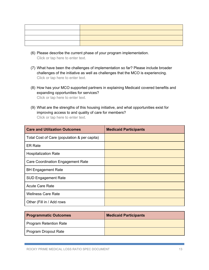- (6) Please describe the current phase of your program implementation. Click or tap here to enter text.
- (7) What have been the challenges of implementation so far? Please include broader challenges of the initiative as well as challenges that the MCO is experiencing. Click or tap here to enter text.
- (8) How has your MCO supported partners in explaining Medicaid covered benefits and expanding opportunities for services? Click or tap here to enter text.
- (9) What are the strengths of this housing initiative, and what opportunities exist for improving access to and quality of care for members? Click or tap here to enter text.

| <b>Care and Utilization Outcomes</b>         | <b>Medicaid Participants</b> |
|----------------------------------------------|------------------------------|
| Total Cost of Care (population & per capita) |                              |
| <b>ER Rate</b>                               |                              |
| <b>Hospitalization Rate</b>                  |                              |
| <b>Care Coordination Engagement Rate</b>     |                              |
| <b>BH Engagement Rate</b>                    |                              |
| <b>SUD Engagement Rate</b>                   |                              |
| <b>Acute Care Rate</b>                       |                              |
| <b>Wellness Care Rate</b>                    |                              |
| Other (Fill in / Add rows                    |                              |

| <b>Programmatic Outcomes</b> | <b>Medicaid Participants</b> |
|------------------------------|------------------------------|
| Program Retention Rate       |                              |
| Program Dropout Rate         |                              |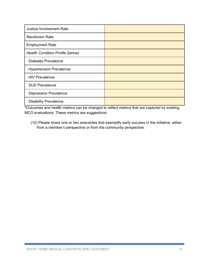| <b>Justice Involvement Rate</b>  |  |
|----------------------------------|--|
| <b>Recidivism Rate</b>           |  |
| <b>Employment Rate</b>           |  |
| Health Condition Profile (below) |  |
| <b>Diabetes Prevalence</b>       |  |
| <b>Hypertension Prevalence</b>   |  |
| <b>HIV Prevalence</b>            |  |
| <b>SUD Prevalence</b>            |  |
| <b>Depression Prevalence</b>     |  |
| <b>Disability Prevalence</b>     |  |

**\***Outcomes and health metrics can be changed to reflect metrics that are captured by existing MCO evaluations. These metrics are suggestions.

(10) Please share one or two anecdotes that exemplify early success in the initiative, either from a member's perspective or from the community perspective.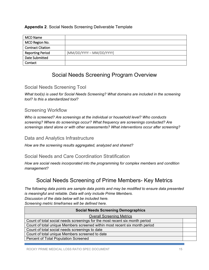#### **Appendix 2**. Social Needs Screening Deliverable Template

| MCO Name                 |                           |
|--------------------------|---------------------------|
| MCO Region No.           |                           |
| <b>Contract Citation</b> |                           |
| <b>Reporting Period</b>  | [MM/DD/YYYY - MM/DD/YYYY] |
| Date Submitted           |                           |
| Contact                  |                           |

# Social Needs Screening Program Overview

### Social Needs Screening Tool

*What tool(s) is used for Social Needs Screening? What domains are included in the screening tool? Is this a standardized tool?*

### Screening Workflow

*Who is screened? Are screenings at the individual or household level? Who conducts screening? Where do screenings occur? What frequency are screenings conducted? Are screenings stand alone or with other assessments? What interventions occur after screening?*

#### Data and Analytics Infrastructure

*How are the screening results aggregated, analyzed and shared?*

#### Social Needs and Care Coordination Stratification

*How are social needs incorporated into the programming for complex members and condition management?*

# Social Needs Screening of Prime Members- Key Metrics

*The following data points are sample data points and may be modified to ensure data presented is meaningful and reliable. Data will only include Prime Members.*

*Discussion of the data below will be included here.*

*Screening metric timeframes will be defined here.* 

| <b>Social Needs Screening Demographics</b>                                  |  |
|-----------------------------------------------------------------------------|--|
| <b>Overall Screening Metrics</b>                                            |  |
| Count of total social needs screenings for the most recent six month period |  |
| Count of total unique Members screened within most recent six month period  |  |
| Count of total social needs screenings to date                              |  |
| Count of total unique Members screened to date                              |  |
| Percent of Total Population Screened                                        |  |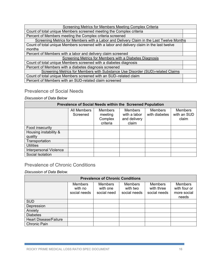| <b>Screening Metrics for Members Meeting Complex Criteria</b>                             |  |  |  |  |
|-------------------------------------------------------------------------------------------|--|--|--|--|
| Count of total unique Members screened meeting the Complex criteria                       |  |  |  |  |
| Percent of Members meeting the Complex criteria screened                                  |  |  |  |  |
| Screening Metrics for Members with a Labor and Delivery Claim in the Last Twelve Months   |  |  |  |  |
| Count of total unique Members screened with a labor and delivery claim in the last twelve |  |  |  |  |
| months                                                                                    |  |  |  |  |
| Percent of Members with a labor and delivery claim screened                               |  |  |  |  |
| Screening Metrics for Members with a Diabetes Diagnosis                                   |  |  |  |  |
| Count of total unique Members screened with a diabetes diagnosis                          |  |  |  |  |
| Percent of Members with a diabetes diagnosis screened                                     |  |  |  |  |
| Screening Metrics for Members with Substance Use Disorder (SUD)-related Claims            |  |  |  |  |
| Count of total unique Members screened with an SUD-related claim                          |  |  |  |  |
| Percent of Members with an SUD-related claim screened                                     |  |  |  |  |

## Prevalence of Social Needs

#### *Discussion of Data Below*

| Prevalence of Social Needs within the Screened Population |                         |                                                  |                                                         |                                 |                                        |  |  |  |
|-----------------------------------------------------------|-------------------------|--------------------------------------------------|---------------------------------------------------------|---------------------------------|----------------------------------------|--|--|--|
|                                                           | All Members<br>Screened | <b>Members</b><br>meeting<br>Complex<br>criteria | <b>Members</b><br>with a labor<br>and delivery<br>claim | <b>Members</b><br>with diabetes | <b>Members</b><br>with an SUD<br>claim |  |  |  |
| Food insecurity                                           |                         |                                                  |                                                         |                                 |                                        |  |  |  |
| Housing instability &                                     |                         |                                                  |                                                         |                                 |                                        |  |  |  |
| quality                                                   |                         |                                                  |                                                         |                                 |                                        |  |  |  |
| Transportation                                            |                         |                                                  |                                                         |                                 |                                        |  |  |  |
| <b>Utilities</b>                                          |                         |                                                  |                                                         |                                 |                                        |  |  |  |
| <b>Interpersonal Violence</b>                             |                         |                                                  |                                                         |                                 |                                        |  |  |  |
| Social Isolation                                          |                         |                                                  |                                                         |                                 |                                        |  |  |  |

## Prevalence of Chronic Conditions

*Discussion of Data Below.* 

| <b>Prevalence of Chronic Conditions</b> |                                           |                                           |                                            |                                              |                                                        |  |  |  |
|-----------------------------------------|-------------------------------------------|-------------------------------------------|--------------------------------------------|----------------------------------------------|--------------------------------------------------------|--|--|--|
|                                         | <b>Members</b><br>with no<br>social needs | <b>Members</b><br>with one<br>social need | <b>Members</b><br>with two<br>social needs | <b>Members</b><br>with three<br>social needs | <b>Members</b><br>with four or<br>more social<br>needs |  |  |  |
| <b>SUD</b>                              |                                           |                                           |                                            |                                              |                                                        |  |  |  |
| Depression                              |                                           |                                           |                                            |                                              |                                                        |  |  |  |
| Anxiety                                 |                                           |                                           |                                            |                                              |                                                        |  |  |  |
| <b>Diabetes</b>                         |                                           |                                           |                                            |                                              |                                                        |  |  |  |
| <b>Heart Disease/Failure</b>            |                                           |                                           |                                            |                                              |                                                        |  |  |  |
| <b>Chronic Pain</b>                     |                                           |                                           |                                            |                                              |                                                        |  |  |  |

ROCKY PRIME MEDICAL LOSS RATIO SPEC DOCUMENT 16 16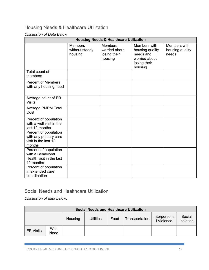# Housing Needs & Healthcare Utilization

#### *Discussion of Data Below*

|                                                                                     | <b>Housing Needs &amp; Healthcare Utilization</b> |                                                            |                                                                                          |                                          |  |  |  |  |  |
|-------------------------------------------------------------------------------------|---------------------------------------------------|------------------------------------------------------------|------------------------------------------------------------------------------------------|------------------------------------------|--|--|--|--|--|
|                                                                                     | <b>Members</b><br>without steady<br>housing       | <b>Members</b><br>worried about<br>losing their<br>housing | Members with<br>housing quality<br>needs and<br>worried about<br>losing their<br>housing | Members with<br>housing quality<br>needs |  |  |  |  |  |
| Total count of<br>members                                                           |                                                   |                                                            |                                                                                          |                                          |  |  |  |  |  |
| <b>Percent of Members</b><br>with any housing need                                  |                                                   |                                                            |                                                                                          |                                          |  |  |  |  |  |
| Average count of ER<br><b>Visits</b>                                                |                                                   |                                                            |                                                                                          |                                          |  |  |  |  |  |
| Average PMPM Total<br>Cost                                                          |                                                   |                                                            |                                                                                          |                                          |  |  |  |  |  |
| Percent of population<br>with a well visit in the<br>last 12 months                 |                                                   |                                                            |                                                                                          |                                          |  |  |  |  |  |
| Percent of population<br>with any primary care<br>visit in the last 12<br>months    |                                                   |                                                            |                                                                                          |                                          |  |  |  |  |  |
| Percent of population<br>with a Behavioral<br>Health visit in the last<br>12 months |                                                   |                                                            |                                                                                          |                                          |  |  |  |  |  |
| Percent of population<br>in extended care<br>coordination                           |                                                   |                                                            |                                                                                          |                                          |  |  |  |  |  |

## Social Needs and Healthcare Utilization

*Discussion of data below.* 

| <b>Social Needs and Healthcare Utilization</b> |              |         |                  |      |                |                            |                     |
|------------------------------------------------|--------------|---------|------------------|------|----------------|----------------------------|---------------------|
|                                                |              | Housing | <b>Utilities</b> | Food | Transportation | Interpersona<br>I Violence | Social<br>Isolation |
| <b>ER Visits</b>                               | With<br>Need |         |                  |      |                |                            |                     |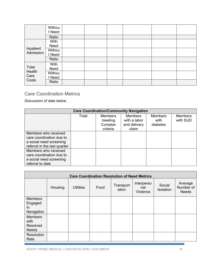|                                  | Withou<br>t Need |  |  |  |
|----------------------------------|------------------|--|--|--|
|                                  | Ratio            |  |  |  |
| Inpatient<br>Admission           | With<br>Need     |  |  |  |
|                                  | Withou<br>t Need |  |  |  |
|                                  | Ratio            |  |  |  |
| Total<br>Health<br>Care<br>Costs | With<br>Need     |  |  |  |
|                                  | Withou<br>t Need |  |  |  |
|                                  | Ratio            |  |  |  |

## Care Coordination Metrics

*Discussion of data below.* 

| <b>Care Coordination/Community Navigation</b>                                                               |       |                                                  |                                                         |                                    |                            |  |  |  |  |  |  |
|-------------------------------------------------------------------------------------------------------------|-------|--------------------------------------------------|---------------------------------------------------------|------------------------------------|----------------------------|--|--|--|--|--|--|
|                                                                                                             | Total | <b>Members</b><br>meeting<br>Complex<br>criteria | <b>Members</b><br>with a labor<br>and delivery<br>claim | <b>Members</b><br>with<br>diabetes | <b>Members</b><br>with SUD |  |  |  |  |  |  |
| Members who received<br>care coordination due to<br>a social need screening<br>referral in the last quarter |       |                                                  |                                                         |                                    |                            |  |  |  |  |  |  |
| Members who received<br>care coordination due to<br>a social need screening<br>referral to date             |       |                                                  |                                                         |                                    |                            |  |  |  |  |  |  |

| <b>Care Coordination Resolution of Need Metrics</b> |         |                  |      |                    |                               |                     |                                      |  |  |  |  |
|-----------------------------------------------------|---------|------------------|------|--------------------|-------------------------------|---------------------|--------------------------------------|--|--|--|--|
|                                                     | Housing | <b>Utilities</b> | Food | Transport<br>ation | Interperso<br>nal<br>Violence | Social<br>Isolation | Average<br>Number of<br><b>Needs</b> |  |  |  |  |
| <b>Members</b><br>Engaged<br>In<br>Navigation       |         |                  |      |                    |                               |                     |                                      |  |  |  |  |
| <b>Members</b><br>with<br>Resolved<br><b>Needs</b>  |         |                  |      |                    |                               |                     |                                      |  |  |  |  |
| Resolution<br>Rate                                  |         |                  |      |                    |                               |                     |                                      |  |  |  |  |